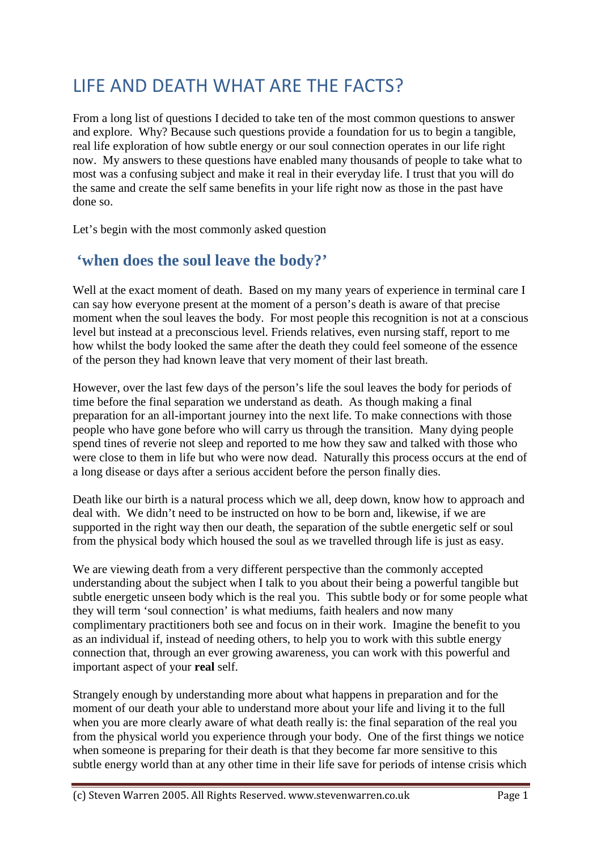# LIFE AND DEATH WHAT ARE THE FACTS?

From a long list of questions I decided to take ten of the most common questions to answer and explore. Why? Because such questions provide a foundation for us to begin a tangible, real life exploration of how subtle energy or our soul connection operates in our life right now. My answers to these questions have enabled many thousands of people to take what to most was a confusing subject and make it real in their everyday life. I trust that you will do the same and create the self same benefits in your life right now as those in the past have done so.

Let's begin with the most commonly asked question

#### **'when does the soul leave the body?'**

Well at the exact moment of death. Based on my many years of experience in terminal care I can say how everyone present at the moment of a person's death is aware of that precise moment when the soul leaves the body. For most people this recognition is not at a conscious level but instead at a preconscious level. Friends relatives, even nursing staff, report to me how whilst the body looked the same after the death they could feel someone of the essence of the person they had known leave that very moment of their last breath.

However, over the last few days of the person's life the soul leaves the body for periods of time before the final separation we understand as death. As though making a final preparation for an all-important journey into the next life. To make connections with those people who have gone before who will carry us through the transition. Many dying people spend tines of reverie not sleep and reported to me how they saw and talked with those who were close to them in life but who were now dead. Naturally this process occurs at the end of a long disease or days after a serious accident before the person finally dies.

Death like our birth is a natural process which we all, deep down, know how to approach and deal with. We didn't need to be instructed on how to be born and, likewise, if we are supported in the right way then our death, the separation of the subtle energetic self or soul from the physical body which housed the soul as we travelled through life is just as easy.

We are viewing death from a very different perspective than the commonly accepted understanding about the subject when I talk to you about their being a powerful tangible but subtle energetic unseen body which is the real you. This subtle body or for some people what they will term 'soul connection' is what mediums, faith healers and now many complimentary practitioners both see and focus on in their work. Imagine the benefit to you as an individual if, instead of needing others, to help you to work with this subtle energy connection that, through an ever growing awareness, you can work with this powerful and important aspect of your **real** self.

Strangely enough by understanding more about what happens in preparation and for the moment of our death your able to understand more about your life and living it to the full when you are more clearly aware of what death really is: the final separation of the real you from the physical world you experience through your body. One of the first things we notice when someone is preparing for their death is that they become far more sensitive to this subtle energy world than at any other time in their life save for periods of intense crisis which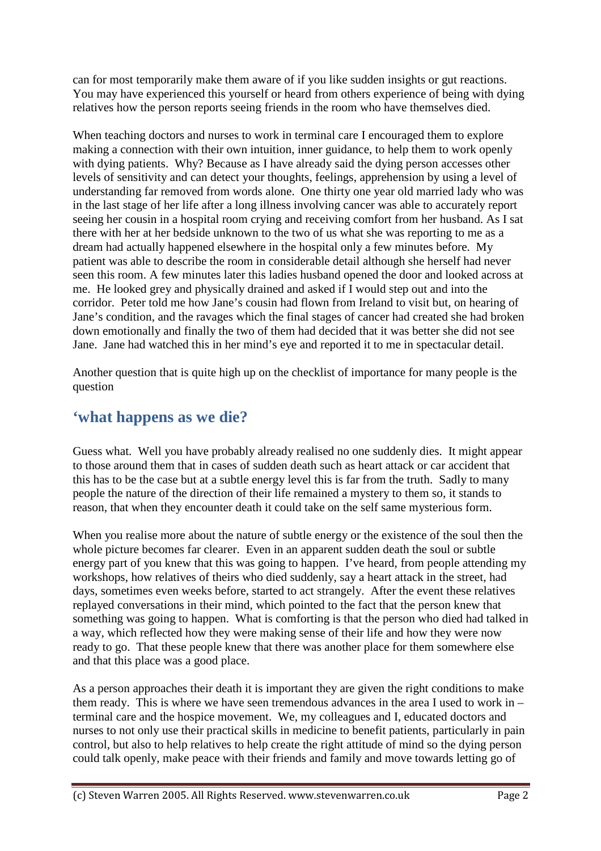can for most temporarily make them aware of if you like sudden insights or gut reactions. You may have experienced this yourself or heard from others experience of being with dying relatives how the person reports seeing friends in the room who have themselves died.

When teaching doctors and nurses to work in terminal care I encouraged them to explore making a connection with their own intuition, inner guidance, to help them to work openly with dying patients. Why? Because as I have already said the dying person accesses other levels of sensitivity and can detect your thoughts, feelings, apprehension by using a level of understanding far removed from words alone. One thirty one year old married lady who was in the last stage of her life after a long illness involving cancer was able to accurately report seeing her cousin in a hospital room crying and receiving comfort from her husband. As I sat there with her at her bedside unknown to the two of us what she was reporting to me as a dream had actually happened elsewhere in the hospital only a few minutes before. My patient was able to describe the room in considerable detail although she herself had never seen this room. A few minutes later this ladies husband opened the door and looked across at me. He looked grey and physically drained and asked if I would step out and into the corridor. Peter told me how Jane's cousin had flown from Ireland to visit but, on hearing of Jane's condition, and the ravages which the final stages of cancer had created she had broken down emotionally and finally the two of them had decided that it was better she did not see Jane. Jane had watched this in her mind's eye and reported it to me in spectacular detail.

Another question that is quite high up on the checklist of importance for many people is the question

## **'what happens as we die?**

Guess what. Well you have probably already realised no one suddenly dies. It might appear to those around them that in cases of sudden death such as heart attack or car accident that this has to be the case but at a subtle energy level this is far from the truth. Sadly to many people the nature of the direction of their life remained a mystery to them so, it stands to reason, that when they encounter death it could take on the self same mysterious form.

When you realise more about the nature of subtle energy or the existence of the soul then the whole picture becomes far clearer. Even in an apparent sudden death the soul or subtle energy part of you knew that this was going to happen. I've heard, from people attending my workshops, how relatives of theirs who died suddenly, say a heart attack in the street, had days, sometimes even weeks before, started to act strangely. After the event these relatives replayed conversations in their mind, which pointed to the fact that the person knew that something was going to happen. What is comforting is that the person who died had talked in a way, which reflected how they were making sense of their life and how they were now ready to go. That these people knew that there was another place for them somewhere else and that this place was a good place.

As a person approaches their death it is important they are given the right conditions to make them ready. This is where we have seen tremendous advances in the area I used to work in – terminal care and the hospice movement. We, my colleagues and I, educated doctors and nurses to not only use their practical skills in medicine to benefit patients, particularly in pain control, but also to help relatives to help create the right attitude of mind so the dying person could talk openly, make peace with their friends and family and move towards letting go of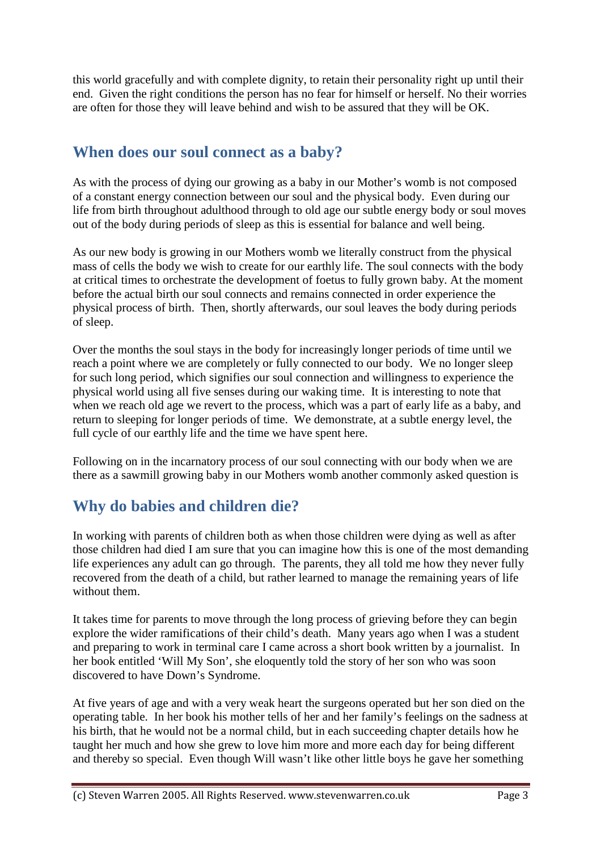this world gracefully and with complete dignity, to retain their personality right up until their end. Given the right conditions the person has no fear for himself or herself. No their worries are often for those they will leave behind and wish to be assured that they will be OK.

## **When does our soul connect as a baby?**

As with the process of dying our growing as a baby in our Mother's womb is not composed of a constant energy connection between our soul and the physical body. Even during our life from birth throughout adulthood through to old age our subtle energy body or soul moves out of the body during periods of sleep as this is essential for balance and well being.

As our new body is growing in our Mothers womb we literally construct from the physical mass of cells the body we wish to create for our earthly life. The soul connects with the body at critical times to orchestrate the development of foetus to fully grown baby. At the moment before the actual birth our soul connects and remains connected in order experience the physical process of birth. Then, shortly afterwards, our soul leaves the body during periods of sleep.

Over the months the soul stays in the body for increasingly longer periods of time until we reach a point where we are completely or fully connected to our body. We no longer sleep for such long period, which signifies our soul connection and willingness to experience the physical world using all five senses during our waking time. It is interesting to note that when we reach old age we revert to the process, which was a part of early life as a baby, and return to sleeping for longer periods of time. We demonstrate, at a subtle energy level, the full cycle of our earthly life and the time we have spent here.

Following on in the incarnatory process of our soul connecting with our body when we are there as a sawmill growing baby in our Mothers womb another commonly asked question is

# **Why do babies and children die?**

In working with parents of children both as when those children were dying as well as after those children had died I am sure that you can imagine how this is one of the most demanding life experiences any adult can go through. The parents, they all told me how they never fully recovered from the death of a child, but rather learned to manage the remaining years of life without them.

It takes time for parents to move through the long process of grieving before they can begin explore the wider ramifications of their child's death. Many years ago when I was a student and preparing to work in terminal care I came across a short book written by a journalist. In her book entitled 'Will My Son', she eloquently told the story of her son who was soon discovered to have Down's Syndrome.

At five years of age and with a very weak heart the surgeons operated but her son died on the operating table. In her book his mother tells of her and her family's feelings on the sadness at his birth, that he would not be a normal child, but in each succeeding chapter details how he taught her much and how she grew to love him more and more each day for being different and thereby so special. Even though Will wasn't like other little boys he gave her something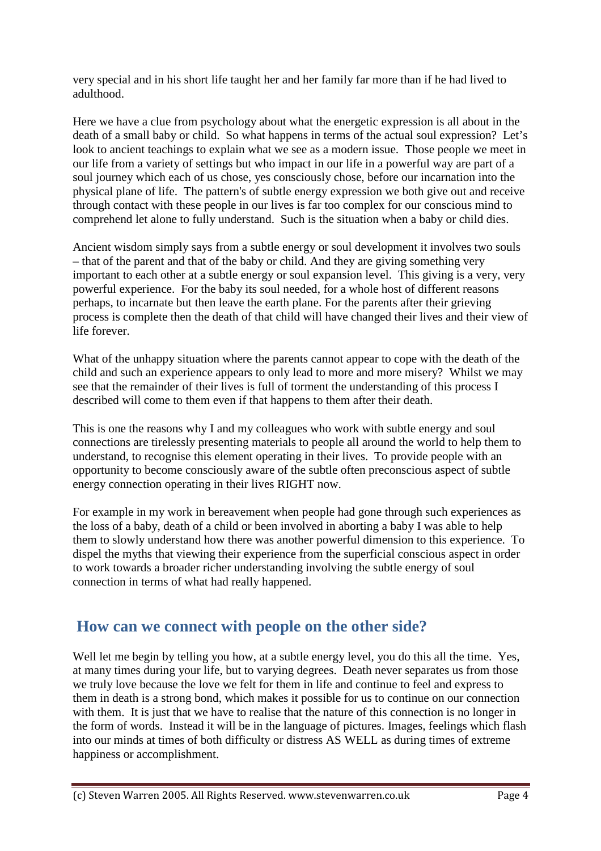very special and in his short life taught her and her family far more than if he had lived to adulthood.

Here we have a clue from psychology about what the energetic expression is all about in the death of a small baby or child. So what happens in terms of the actual soul expression? Let's look to ancient teachings to explain what we see as a modern issue. Those people we meet in our life from a variety of settings but who impact in our life in a powerful way are part of a soul journey which each of us chose, yes consciously chose, before our incarnation into the physical plane of life. The pattern's of subtle energy expression we both give out and receive through contact with these people in our lives is far too complex for our conscious mind to comprehend let alone to fully understand. Such is the situation when a baby or child dies.

Ancient wisdom simply says from a subtle energy or soul development it involves two souls – that of the parent and that of the baby or child. And they are giving something very important to each other at a subtle energy or soul expansion level. This giving is a very, very powerful experience. For the baby its soul needed, for a whole host of different reasons perhaps, to incarnate but then leave the earth plane. For the parents after their grieving process is complete then the death of that child will have changed their lives and their view of life forever.

What of the unhappy situation where the parents cannot appear to cope with the death of the child and such an experience appears to only lead to more and more misery? Whilst we may see that the remainder of their lives is full of torment the understanding of this process I described will come to them even if that happens to them after their death.

This is one the reasons why I and my colleagues who work with subtle energy and soul connections are tirelessly presenting materials to people all around the world to help them to understand, to recognise this element operating in their lives. To provide people with an opportunity to become consciously aware of the subtle often preconscious aspect of subtle energy connection operating in their lives RIGHT now.

For example in my work in bereavement when people had gone through such experiences as the loss of a baby, death of a child or been involved in aborting a baby I was able to help them to slowly understand how there was another powerful dimension to this experience. To dispel the myths that viewing their experience from the superficial conscious aspect in order to work towards a broader richer understanding involving the subtle energy of soul connection in terms of what had really happened.

#### **How can we connect with people on the other side?**

Well let me begin by telling you how, at a subtle energy level, you do this all the time. Yes, at many times during your life, but to varying degrees. Death never separates us from those we truly love because the love we felt for them in life and continue to feel and express to them in death is a strong bond, which makes it possible for us to continue on our connection with them. It is just that we have to realise that the nature of this connection is no longer in the form of words. Instead it will be in the language of pictures. Images, feelings which flash into our minds at times of both difficulty or distress AS WELL as during times of extreme happiness or accomplishment.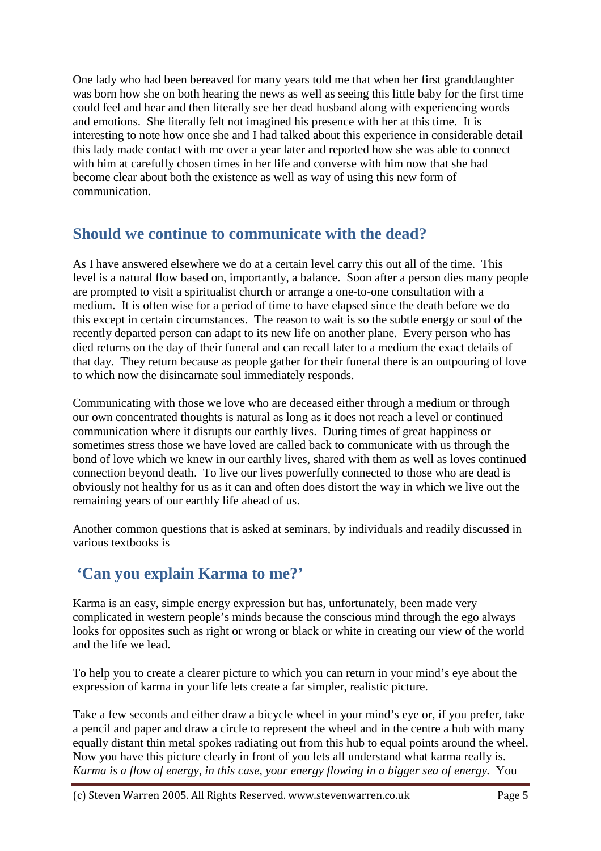One lady who had been bereaved for many years told me that when her first granddaughter was born how she on both hearing the news as well as seeing this little baby for the first time could feel and hear and then literally see her dead husband along with experiencing words and emotions. She literally felt not imagined his presence with her at this time. It is interesting to note how once she and I had talked about this experience in considerable detail this lady made contact with me over a year later and reported how she was able to connect with him at carefully chosen times in her life and converse with him now that she had become clear about both the existence as well as way of using this new form of communication.

#### **Should we continue to communicate with the dead?**

As I have answered elsewhere we do at a certain level carry this out all of the time. This level is a natural flow based on, importantly, a balance. Soon after a person dies many people are prompted to visit a spiritualist church or arrange a one-to-one consultation with a medium. It is often wise for a period of time to have elapsed since the death before we do this except in certain circumstances. The reason to wait is so the subtle energy or soul of the recently departed person can adapt to its new life on another plane. Every person who has died returns on the day of their funeral and can recall later to a medium the exact details of that day. They return because as people gather for their funeral there is an outpouring of love to which now the disincarnate soul immediately responds.

Communicating with those we love who are deceased either through a medium or through our own concentrated thoughts is natural as long as it does not reach a level or continued communication where it disrupts our earthly lives. During times of great happiness or sometimes stress those we have loved are called back to communicate with us through the bond of love which we knew in our earthly lives, shared with them as well as loves continued connection beyond death. To live our lives powerfully connected to those who are dead is obviously not healthy for us as it can and often does distort the way in which we live out the remaining years of our earthly life ahead of us.

Another common questions that is asked at seminars, by individuals and readily discussed in various textbooks is

## **'Can you explain Karma to me?'**

Karma is an easy, simple energy expression but has, unfortunately, been made very complicated in western people's minds because the conscious mind through the ego always looks for opposites such as right or wrong or black or white in creating our view of the world and the life we lead.

To help you to create a clearer picture to which you can return in your mind's eye about the expression of karma in your life lets create a far simpler, realistic picture.

Take a few seconds and either draw a bicycle wheel in your mind's eye or, if you prefer, take a pencil and paper and draw a circle to represent the wheel and in the centre a hub with many equally distant thin metal spokes radiating out from this hub to equal points around the wheel. Now you have this picture clearly in front of you lets all understand what karma really is. *Karma is a flow of energy, in this case, your energy flowing in a bigger sea of energy.* You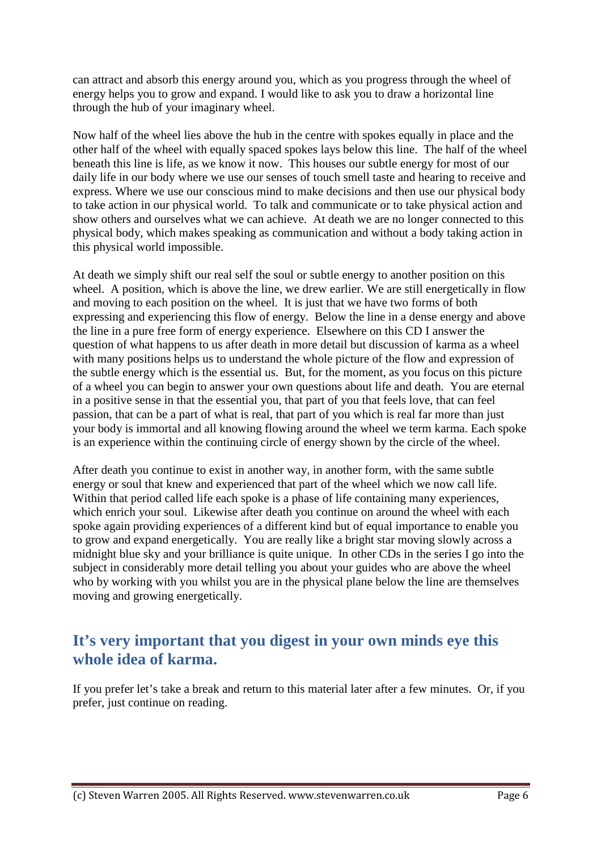can attract and absorb this energy around you, which as you progress through the wheel of energy helps you to grow and expand. I would like to ask you to draw a horizontal line through the hub of your imaginary wheel.

Now half of the wheel lies above the hub in the centre with spokes equally in place and the other half of the wheel with equally spaced spokes lays below this line. The half of the wheel beneath this line is life, as we know it now. This houses our subtle energy for most of our daily life in our body where we use our senses of touch smell taste and hearing to receive and express. Where we use our conscious mind to make decisions and then use our physical body to take action in our physical world. To talk and communicate or to take physical action and show others and ourselves what we can achieve. At death we are no longer connected to this physical body, which makes speaking as communication and without a body taking action in this physical world impossible.

At death we simply shift our real self the soul or subtle energy to another position on this wheel. A position, which is above the line, we drew earlier. We are still energetically in flow and moving to each position on the wheel. It is just that we have two forms of both expressing and experiencing this flow of energy. Below the line in a dense energy and above the line in a pure free form of energy experience. Elsewhere on this CD I answer the question of what happens to us after death in more detail but discussion of karma as a wheel with many positions helps us to understand the whole picture of the flow and expression of the subtle energy which is the essential us. But, for the moment, as you focus on this picture of a wheel you can begin to answer your own questions about life and death. You are eternal in a positive sense in that the essential you, that part of you that feels love, that can feel passion, that can be a part of what is real, that part of you which is real far more than just your body is immortal and all knowing flowing around the wheel we term karma. Each spoke is an experience within the continuing circle of energy shown by the circle of the wheel.

After death you continue to exist in another way, in another form, with the same subtle energy or soul that knew and experienced that part of the wheel which we now call life. Within that period called life each spoke is a phase of life containing many experiences, which enrich your soul. Likewise after death you continue on around the wheel with each spoke again providing experiences of a different kind but of equal importance to enable you to grow and expand energetically. You are really like a bright star moving slowly across a midnight blue sky and your brilliance is quite unique. In other CDs in the series I go into the subject in considerably more detail telling you about your guides who are above the wheel who by working with you whilst you are in the physical plane below the line are themselves moving and growing energetically.

## **It's very important that you digest in your own minds eye this whole idea of karma.**

If you prefer let's take a break and return to this material later after a few minutes. Or, if you prefer, just continue on reading.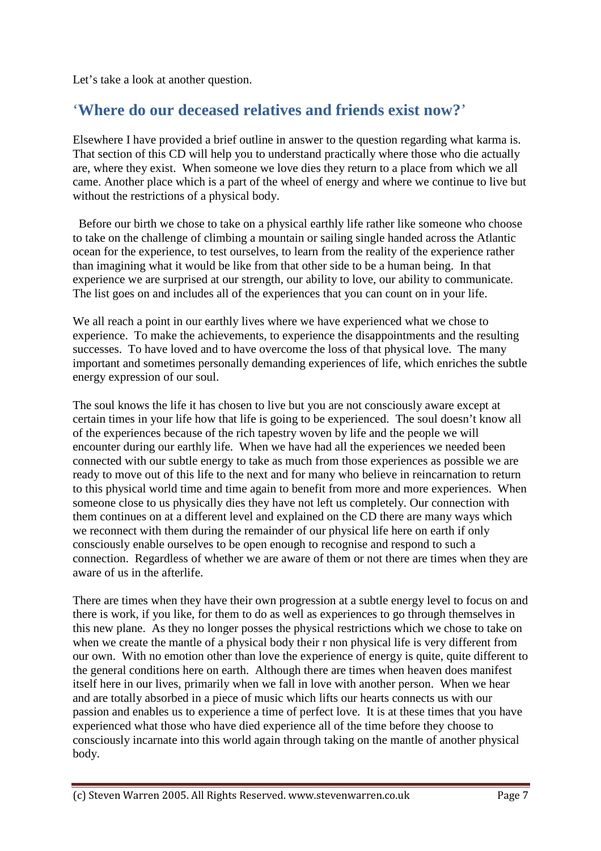Let's take a look at another question.

#### '**Where do our deceased relatives and friends exist now?**'

Elsewhere I have provided a brief outline in answer to the question regarding what karma is. That section of this CD will help you to understand practically where those who die actually are, where they exist. When someone we love dies they return to a place from which we all came. Another place which is a part of the wheel of energy and where we continue to live but without the restrictions of a physical body.

 Before our birth we chose to take on a physical earthly life rather like someone who choose to take on the challenge of climbing a mountain or sailing single handed across the Atlantic ocean for the experience, to test ourselves, to learn from the reality of the experience rather than imagining what it would be like from that other side to be a human being. In that experience we are surprised at our strength, our ability to love, our ability to communicate. The list goes on and includes all of the experiences that you can count on in your life.

We all reach a point in our earthly lives where we have experienced what we chose to experience. To make the achievements, to experience the disappointments and the resulting successes. To have loved and to have overcome the loss of that physical love. The many important and sometimes personally demanding experiences of life, which enriches the subtle energy expression of our soul.

The soul knows the life it has chosen to live but you are not consciously aware except at certain times in your life how that life is going to be experienced. The soul doesn't know all of the experiences because of the rich tapestry woven by life and the people we will encounter during our earthly life. When we have had all the experiences we needed been connected with our subtle energy to take as much from those experiences as possible we are ready to move out of this life to the next and for many who believe in reincarnation to return to this physical world time and time again to benefit from more and more experiences. When someone close to us physically dies they have not left us completely. Our connection with them continues on at a different level and explained on the CD there are many ways which we reconnect with them during the remainder of our physical life here on earth if only consciously enable ourselves to be open enough to recognise and respond to such a connection. Regardless of whether we are aware of them or not there are times when they are aware of us in the afterlife.

There are times when they have their own progression at a subtle energy level to focus on and there is work, if you like, for them to do as well as experiences to go through themselves in this new plane. As they no longer posses the physical restrictions which we chose to take on when we create the mantle of a physical body their r non physical life is very different from our own. With no emotion other than love the experience of energy is quite, quite different to the general conditions here on earth. Although there are times when heaven does manifest itself here in our lives, primarily when we fall in love with another person. When we hear and are totally absorbed in a piece of music which lifts our hearts connects us with our passion and enables us to experience a time of perfect love. It is at these times that you have experienced what those who have died experience all of the time before they choose to consciously incarnate into this world again through taking on the mantle of another physical body.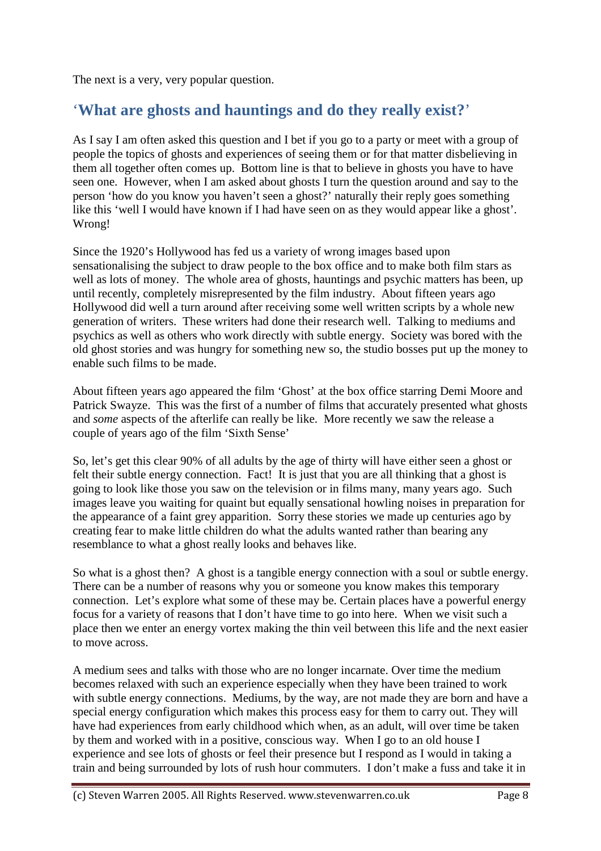The next is a very, very popular question.

## '**What are ghosts and hauntings and do they really exist?**'

As I say I am often asked this question and I bet if you go to a party or meet with a group of people the topics of ghosts and experiences of seeing them or for that matter disbelieving in them all together often comes up. Bottom line is that to believe in ghosts you have to have seen one. However, when I am asked about ghosts I turn the question around and say to the person 'how do you know you haven't seen a ghost?' naturally their reply goes something like this 'well I would have known if I had have seen on as they would appear like a ghost'. Wrong!

Since the 1920's Hollywood has fed us a variety of wrong images based upon sensationalising the subject to draw people to the box office and to make both film stars as well as lots of money. The whole area of ghosts, hauntings and psychic matters has been, up until recently, completely misrepresented by the film industry. About fifteen years ago Hollywood did well a turn around after receiving some well written scripts by a whole new generation of writers. These writers had done their research well. Talking to mediums and psychics as well as others who work directly with subtle energy. Society was bored with the old ghost stories and was hungry for something new so, the studio bosses put up the money to enable such films to be made.

About fifteen years ago appeared the film 'Ghost' at the box office starring Demi Moore and Patrick Swayze. This was the first of a number of films that accurately presented what ghosts and *some* aspects of the afterlife can really be like. More recently we saw the release a couple of years ago of the film 'Sixth Sense'

So, let's get this clear 90% of all adults by the age of thirty will have either seen a ghost or felt their subtle energy connection. Fact! It is just that you are all thinking that a ghost is going to look like those you saw on the television or in films many, many years ago. Such images leave you waiting for quaint but equally sensational howling noises in preparation for the appearance of a faint grey apparition. Sorry these stories we made up centuries ago by creating fear to make little children do what the adults wanted rather than bearing any resemblance to what a ghost really looks and behaves like.

So what is a ghost then? A ghost is a tangible energy connection with a soul or subtle energy. There can be a number of reasons why you or someone you know makes this temporary connection. Let's explore what some of these may be. Certain places have a powerful energy focus for a variety of reasons that I don't have time to go into here. When we visit such a place then we enter an energy vortex making the thin veil between this life and the next easier to move across.

A medium sees and talks with those who are no longer incarnate. Over time the medium becomes relaxed with such an experience especially when they have been trained to work with subtle energy connections. Mediums, by the way, are not made they are born and have a special energy configuration which makes this process easy for them to carry out. They will have had experiences from early childhood which when, as an adult, will over time be taken by them and worked with in a positive, conscious way. When I go to an old house I experience and see lots of ghosts or feel their presence but I respond as I would in taking a train and being surrounded by lots of rush hour commuters. I don't make a fuss and take it in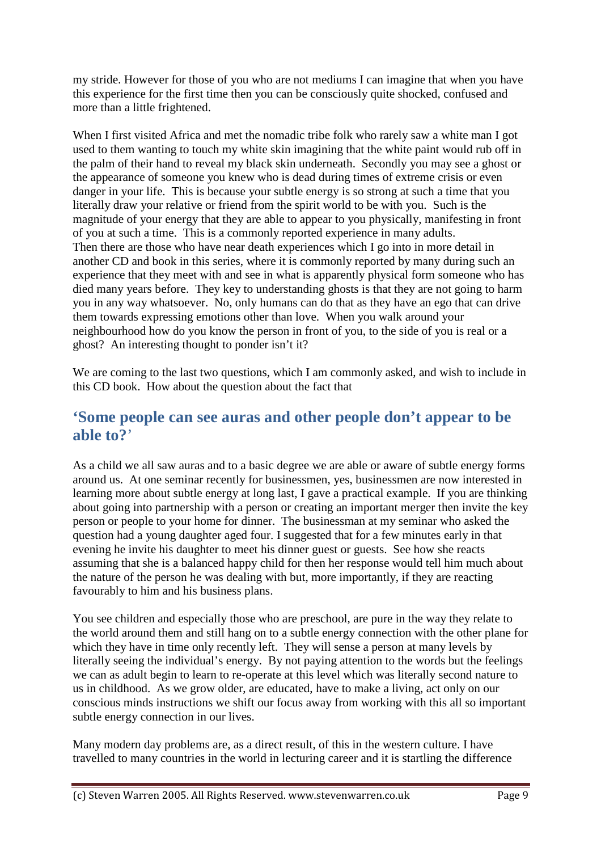my stride. However for those of you who are not mediums I can imagine that when you have this experience for the first time then you can be consciously quite shocked, confused and more than a little frightened.

When I first visited Africa and met the nomadic tribe folk who rarely saw a white man I got used to them wanting to touch my white skin imagining that the white paint would rub off in the palm of their hand to reveal my black skin underneath. Secondly you may see a ghost or the appearance of someone you knew who is dead during times of extreme crisis or even danger in your life. This is because your subtle energy is so strong at such a time that you literally draw your relative or friend from the spirit world to be with you. Such is the magnitude of your energy that they are able to appear to you physically, manifesting in front of you at such a time. This is a commonly reported experience in many adults. Then there are those who have near death experiences which I go into in more detail in another CD and book in this series, where it is commonly reported by many during such an experience that they meet with and see in what is apparently physical form someone who has died many years before. They key to understanding ghosts is that they are not going to harm you in any way whatsoever. No, only humans can do that as they have an ego that can drive them towards expressing emotions other than love. When you walk around your neighbourhood how do you know the person in front of you, to the side of you is real or a ghost? An interesting thought to ponder isn't it?

We are coming to the last two questions, which I am commonly asked, and wish to include in this CD book. How about the question about the fact that

#### **'Some people can see auras and other people don't appear to be able to?**'

As a child we all saw auras and to a basic degree we are able or aware of subtle energy forms around us. At one seminar recently for businessmen, yes, businessmen are now interested in learning more about subtle energy at long last, I gave a practical example. If you are thinking about going into partnership with a person or creating an important merger then invite the key person or people to your home for dinner. The businessman at my seminar who asked the question had a young daughter aged four. I suggested that for a few minutes early in that evening he invite his daughter to meet his dinner guest or guests. See how she reacts assuming that she is a balanced happy child for then her response would tell him much about the nature of the person he was dealing with but, more importantly, if they are reacting favourably to him and his business plans.

You see children and especially those who are preschool, are pure in the way they relate to the world around them and still hang on to a subtle energy connection with the other plane for which they have in time only recently left. They will sense a person at many levels by literally seeing the individual's energy. By not paying attention to the words but the feelings we can as adult begin to learn to re-operate at this level which was literally second nature to us in childhood. As we grow older, are educated, have to make a living, act only on our conscious minds instructions we shift our focus away from working with this all so important subtle energy connection in our lives.

Many modern day problems are, as a direct result, of this in the western culture. I have travelled to many countries in the world in lecturing career and it is startling the difference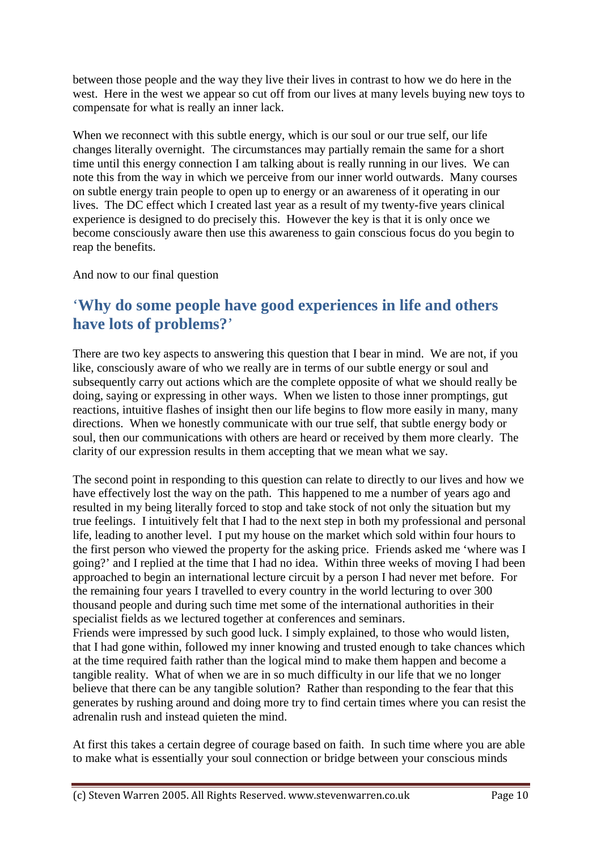between those people and the way they live their lives in contrast to how we do here in the west. Here in the west we appear so cut off from our lives at many levels buying new toys to compensate for what is really an inner lack.

When we reconnect with this subtle energy, which is our soul or our true self, our life changes literally overnight. The circumstances may partially remain the same for a short time until this energy connection I am talking about is really running in our lives. We can note this from the way in which we perceive from our inner world outwards. Many courses on subtle energy train people to open up to energy or an awareness of it operating in our lives. The DC effect which I created last year as a result of my twenty-five years clinical experience is designed to do precisely this. However the key is that it is only once we become consciously aware then use this awareness to gain conscious focus do you begin to reap the benefits.

And now to our final question

## '**Why do some people have good experiences in life and others have lots of problems?**'

There are two key aspects to answering this question that I bear in mind. We are not, if you like, consciously aware of who we really are in terms of our subtle energy or soul and subsequently carry out actions which are the complete opposite of what we should really be doing, saying or expressing in other ways. When we listen to those inner promptings, gut reactions, intuitive flashes of insight then our life begins to flow more easily in many, many directions. When we honestly communicate with our true self, that subtle energy body or soul, then our communications with others are heard or received by them more clearly. The clarity of our expression results in them accepting that we mean what we say.

The second point in responding to this question can relate to directly to our lives and how we have effectively lost the way on the path. This happened to me a number of years ago and resulted in my being literally forced to stop and take stock of not only the situation but my true feelings. I intuitively felt that I had to the next step in both my professional and personal life, leading to another level. I put my house on the market which sold within four hours to the first person who viewed the property for the asking price. Friends asked me 'where was I going?' and I replied at the time that I had no idea. Within three weeks of moving I had been approached to begin an international lecture circuit by a person I had never met before. For the remaining four years I travelled to every country in the world lecturing to over 300 thousand people and during such time met some of the international authorities in their specialist fields as we lectured together at conferences and seminars. Friends were impressed by such good luck. I simply explained, to those who would listen, that I had gone within, followed my inner knowing and trusted enough to take chances which at the time required faith rather than the logical mind to make them happen and become a tangible reality. What of when we are in so much difficulty in our life that we no longer believe that there can be any tangible solution? Rather than responding to the fear that this

generates by rushing around and doing more try to find certain times where you can resist the adrenalin rush and instead quieten the mind.

At first this takes a certain degree of courage based on faith. In such time where you are able to make what is essentially your soul connection or bridge between your conscious minds